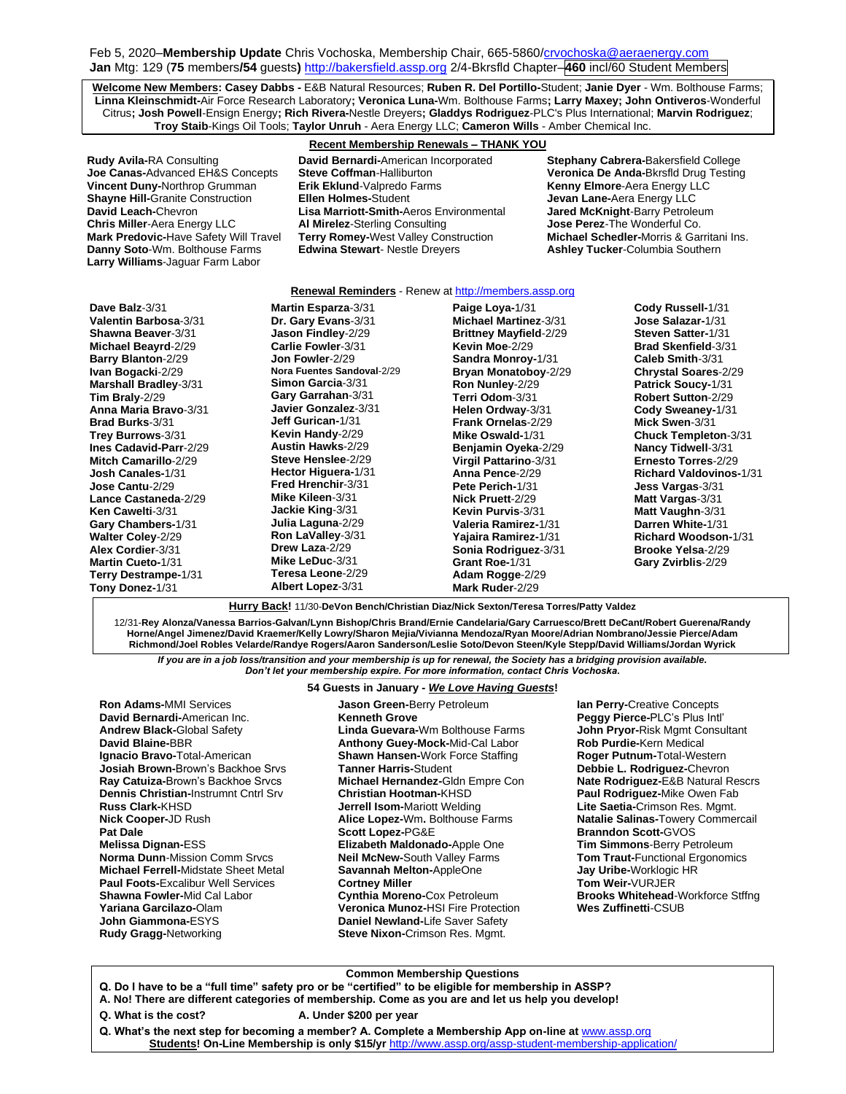Feb 5, 2020–**Membership Update** Chris Vochoska, Membership Chair, 665-586[0/crvochoska@aeraenergy.com](mailto:crvochoska@aeraenergy.com) **Jan** Mtg: 129 (**75** members**/54** guests**)** [http://bakersfield.assp.org](http://bakersfield.assp.org/) 2/4-Bkrsfld Chapter–**460** incl/60 Student Members

**Welcome New Members: Casey Dabbs -** E&B Natural Resources; **Ruben R. Del Portillo-**Student; **Janie Dyer** - Wm. Bolthouse Farms; **Linna Kleinschmidt-**Air Force Research Laboratory**; Veronica Luna-**Wm. Bolthouse Farms**; Larry Maxey; John Ontiveros**-Wonderful Citrus**; Josh Powell**-Ensign Energy**; Rich Rivera-**Nestle Dreyers**; Gladdys Rodriguez**-PLC's Plus International; **Marvin Rodriguez**; **Troy Staib**-Kings Oil Tools; **Taylor Unruh** - Aera Energy LLC; **Cameron Wills** - Amber Chemical Inc.

**Rudy Avila-**RA Consulting **David Bernardi-**American Incorporated **Stephany Cabrera-**Bakersfield College **Vincent Duny-Northrop Grumman <b>Erik Eklund**-Valpredo **Shayne Hill-Granite Construction** Ellen Holmes-Student **Larry Williams**-Jaguar Farm Labor

### **Recent Membership Renewals – THANK YOU**

**Steve Coffman-Halliburton <b>Veronica De Anda-**Bkrsfld Drug Testing<br>**Firik Eklund-**Valpredo Farms **Veronica Breed Kenny Elmore-**Aera Energy LLC **Shayne Hill-**Granite Construction **Ellen Holmes-**Student **Energy Levan Lane-Aera Energy LLC**<br>**David Leach-**Chevron **Ellen Marriott-Smith-**Aeros Environmental **Jared McKnight-**Barry Petroleum **Lisa Marriott-Smith-Aeros Environmental Chris Miller**-Aera Energy LLC **Al Mirelez**-Sterling Consulting **Jose Perez**-The Wonderful Co. **Terry Romey-**West Valley Construction **Danny Soto**-Wm. Bolthouse Farms **Edwina Stewart**- Nestle Dreyers **Ashley Tucker**-Columbia Southern

#### **Renewal Reminders** - Renew a[t http://members.assp.org](http://members.assp.org/)

**Dave Balz**-3/31 **Valentin Barbosa**-3/31 **Shawna Beaver**-3/31 **Michael Beayrd**-2/29 **Barry Blanton**-2/29 **Ivan Bogacki**-2/29 **Marshall Bradley**-3/31 **Tim Braly**-2/29 **Anna Maria Bravo**-3/31 **Brad Burks**-3/31 **Trey Burrows**-3/31 **Ines Cadavid-Parr**-2/29 **Mitch Camarillo**-2/29 **Josh Canales-**1/31 **Jose Cantu**-2/29 **Lance Castaneda**-2/29 **Ken Cawelti**-3/31 **Gary Chambers-**1/31 **Walter Coley**-2/29 **Alex Cordier**-3/31 **Martin Cueto-**1/31 **Terry Destrampe-**1/31 **Tony Donez-**1/31

**Martin Esparza**-3/31 **Dr. Gary Evans**-3/31 **Jason Findley**-2/29 **Carlie Fowler**-3/31 **Jon Fowler**-2/29 **Nora Fuentes Sandoval**-2/29 **Simon Garcia**-3/31 **Gary Garrahan**-3/31 **Javier Gonzalez**-3/31 **Jeff Gurican-**1/31 **Kevin Handy**-2/29 **Austin Hawks**-2/29 **Steve Henslee**-2/29 **Hector Higuera-**1/31 **Fred Hrenchir**-3/31 **Mike Kileen**-3/31 **Jackie King**-3/31 **Julia Laguna**-2/29 **Ron LaValley**-3/31 **Drew Laza**-2/29 **Mike LeDuc**-3/31 **Teresa Leone**-2/29 **Albert Lopez**-3/31

**Paige Loya-**1/31 **Michael Martinez**-3/31 **Brittney Mayfield**-2/29 **Kevin Moe**-2/29 **Sandra Monroy-**1/31 **Bryan Monatoboy**-2/29 **Ron Nunley**-2/29 **Terri Odom**-3/31 **Helen Ordway**-3/31 **Frank Ornelas**-2/29 **Mike Oswald-**1/31 **Benjamin Oyeka**-2/29 **Virgil Pattarino**-3/31 **Anna Pence**-2/29 **Pete Perich-**1/31 **Nick Pruett**-2/29 **Kevin Purvis**-3/31 **Valeria Ramirez-**1/31 **Yajaira Ramirez-**1/31 **Sonia Rodriguez**-3/31 **Grant Roe-**1/31 **Adam Rogge**-2/29 **Mark Ruder**-2/29

**Cody Russell-**1/31 **Jose Salazar-**1/31 **Steven Satter-**1/31 **Brad Skenfield**-3/31 **Caleb Smith**-3/31 **Chrystal Soares**-2/29 **Patrick Soucy-**1/31 **Robert Sutton**-2/29 **Cody Sweaney-**1/31 **Mick Swen**-3/31 **Chuck Templeton**-3/31 **Nancy Tidwell**-3/31 **Ernesto Torres**-2/29 **Richard Valdovinos-**1/31 **Jess Vargas**-3/31 **Matt Vargas**-3/31 **Matt Vaughn**-3/31 **Darren White-**1/31 **Richard Woodson-**1/31 **Brooke Yelsa**-2/29 **Gary Zvirblis**-2/29

**Hurry Back!** 11/30-**DeVon Bench/Christian Diaz/Nick Sexton/Teresa Torres/Patty Valdez**

12/31-**Rey Alonza/Vanessa Barrios-Galvan/Lynn Bishop/Chris Brand/Ernie Candelaria/Gary Carruesco/Brett DeCant/Robert Guerena/Randy Horne/Angel Jimenez/David Kraemer/Kelly Lowry/Sharon Mejia/Vivianna Mendoza/Ryan Moore/Adrian Nombrano/Jessie Pierce/Adam Richmond/Joel Robles Velarde/Randye Rogers/Aaron Sanderson/Leslie Soto/Devon Steen/Kyle Stepp/David Williams/Jordan Wyrick**

*If you are in a job loss/transition and your membership is up for renewal, the Society has a bridging provision available. Don't let your membership expire. For more information, contact Chris Vochoska.* 

# 54 Guests in January - We Love Having Guests!

**Ron Adams-**MMI Services **David Bernardi-**American Inc. **Andrew Black-**Global Safety **David Blaine-**BBR **Ignacio Bravo-**Total-American **Josiah Brown-**Brown's Backhoe Srvs **Ray Catuiza-**Brown's Backhoe Srvcs **Dennis Christian-**Instrumnt Cntrl Srv **Russ Clark-**KHSD **Nick Cooper-**JD Rush **Pat Dale Melissa Dignan-**ESS **Norma Dunn**-Mission Comm Srvcs **Michael Ferrell-**Midstate Sheet Metal **Paul Foots-**Excalibur Well Services **Shawna Fowler-**Mid Cal Labor **Yariana Garcilazo-**Olam **John Giammona-**ESYS **Rudy Gragg-**Networking

**Jason Green-**Berry Petroleum **Kenneth Grove Linda Guevara-**Wm Bolthouse Farms **Anthony Guey-Mock-**Mid-Cal Labor **Shawn Hansen-**Work Force Staffing **Tanner Harris-**Student **Michael Hernandez-**Gldn Empre Con **Christian Hootman-**KHSD **Jerrell Isom-**Mariott Welding **Alice Lopez-**Wm**.** Bolthouse Farms **Scott Lopez-**PG&E **Elizabeth Maldonado-**Apple One **Neil McNew-**South Valley Farms **Savannah Melton-**AppleOne **Cortney Miller Cynthia Moreno-**Cox Petroleum **Veronica Munoz-**HSI Fire Protection **Daniel Newland-**Life Saver Safety **Steve Nixon-**Crimson Res. Mgmt.

**Ian Perry-**Creative Concepts **Peggy Pierce-**PLC's Plus Intl' **John Pryor-**Risk Mgmt Consultant **Rob Purdie-**Kern Medical **Roger Putnum-**Total-Western **Debbie L. Rodriguez-**Chevron **Nate Rodriguez-**E&B Natural Rescrs **Paul Rodriguez-**Mike Owen Fab **Lite Saetia-**Crimson Res. Mgmt. **Natalie Salinas-**Towery Commercail **Branndon Scott-**GVOS **Tim Simmons**-Berry Petroleum **Tom Traut-**Functional Ergonomics **Jay Uribe-**Worklogic HR **Tom Weir-**VURJER **Brooks Whitehead**-Workforce Stffng **Wes Zuffinetti**-CSUB

**Common Membership Questions**

- **Q. Do I have to be a "full time" safety pro or be "certified" to be eligible for membership in ASSP?**
- **A. No! There are different categories of membership. Come as you are and let us help you develop!**
- **Q. What is the cost? A. Under \$200 per year**
	-

**Q. What's the next step for becoming a member? A. Complete a Membership App on-line at** [www.assp.org](http://www.assp.org/) **Students! On-Line Membership is only \$15/yr** <http://www.assp.org/assp-student-membership-application/>